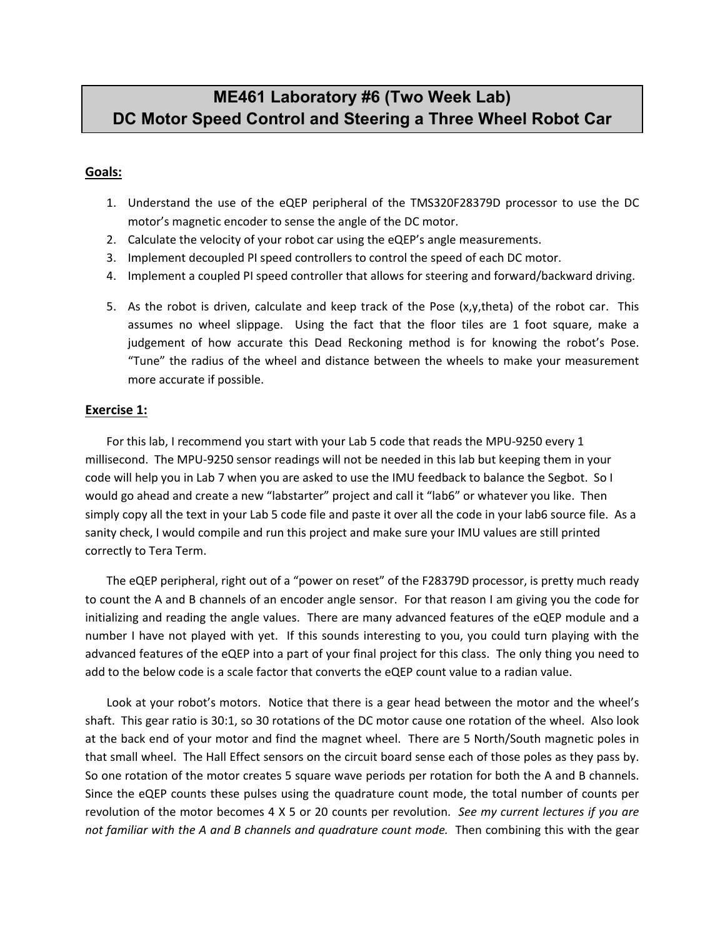# **ME461 Laboratory #6 (Two Week Lab) DC Motor Speed Control and Steering a Three Wheel Robot Car**

### **Goals:**

- 1. Understand the use of the eQEP peripheral of the TMS320F28379D processor to use the DC motor's magnetic encoder to sense the angle of the DC motor.
- 2. Calculate the velocity of your robot car using the eQEP's angle measurements.
- 3. Implement decoupled PI speed controllers to control the speed of each DC motor.
- 4. Implement a coupled PI speed controller that allows for steering and forward/backward driving.
- 5. As the robot is driven, calculate and keep track of the Pose (x,y,theta) of the robot car. This assumes no wheel slippage. Using the fact that the floor tiles are 1 foot square, make a judgement of how accurate this Dead Reckoning method is for knowing the robot's Pose. "Tune" the radius of the wheel and distance between the wheels to make your measurement more accurate if possible.

### **Exercise 1:**

For this lab, I recommend you start with your Lab 5 code that reads the MPU-9250 every 1 millisecond. The MPU-9250 sensor readings will not be needed in this lab but keeping them in your code will help you in Lab 7 when you are asked to use the IMU feedback to balance the Segbot. So I would go ahead and create a new "labstarter" project and call it "lab6" or whatever you like. Then simply copy all the text in your Lab 5 code file and paste it over all the code in your lab6 source file. As a sanity check, I would compile and run this project and make sure your IMU values are still printed correctly to Tera Term.

The eQEP peripheral, right out of a "power on reset" of the F28379D processor, is pretty much ready to count the A and B channels of an encoder angle sensor. For that reason I am giving you the code for initializing and reading the angle values. There are many advanced features of the eQEP module and a number I have not played with yet. If this sounds interesting to you, you could turn playing with the advanced features of the eQEP into a part of your final project for this class. The only thing you need to add to the below code is a scale factor that converts the eQEP count value to a radian value.

Look at your robot's motors. Notice that there is a gear head between the motor and the wheel's shaft. This gear ratio is 30:1, so 30 rotations of the DC motor cause one rotation of the wheel. Also look at the back end of your motor and find the magnet wheel. There are 5 North/South magnetic poles in that small wheel. The Hall Effect sensors on the circuit board sense each of those poles as they pass by. So one rotation of the motor creates 5 square wave periods per rotation for both the A and B channels. Since the eQEP counts these pulses using the quadrature count mode, the total number of counts per revolution of the motor becomes 4 X 5 or 20 counts per revolution. *See my current lectures if you are not familiar with the A and B channels and quadrature count mode.* Then combining this with the gear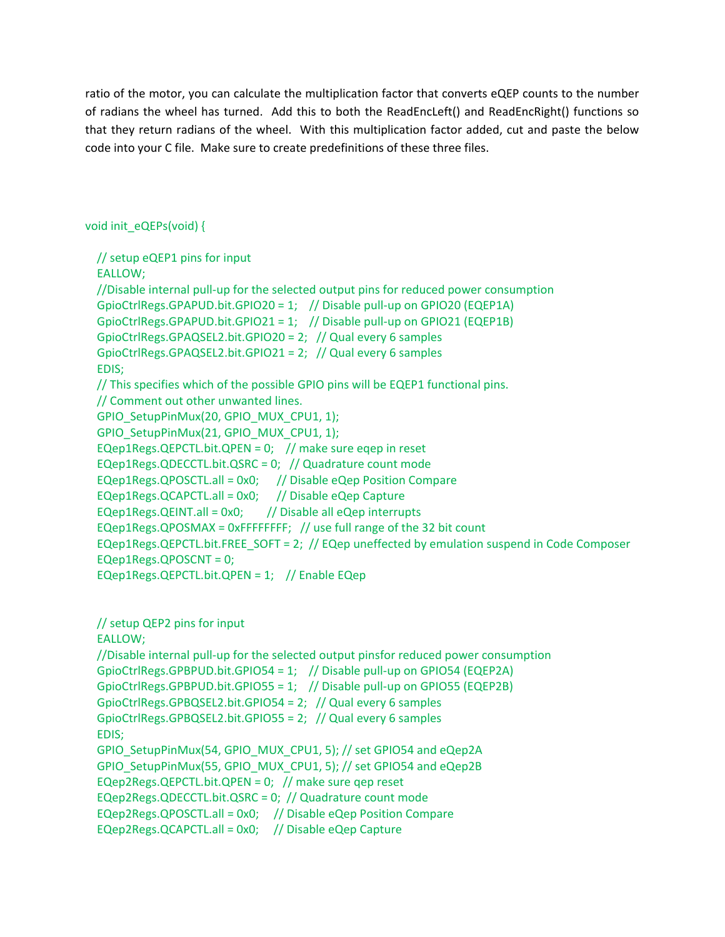ratio of the motor, you can calculate the multiplication factor that converts eQEP counts to the number of radians the wheel has turned. Add this to both the ReadEncLeft() and ReadEncRight() functions so that they return radians of the wheel. With this multiplication factor added, cut and paste the below code into your C file. Make sure to create predefinitions of these three files.

## void init\_eQEPs(void) {

 // setup eQEP1 pins for input EALLOW; //Disable internal pull-up for the selected output pins for reduced power consumption GpioCtrlRegs.GPAPUD.bit.GPIO20 = 1; // Disable pull-up on GPIO20 (EQEP1A) GpioCtrlRegs.GPAPUD.bit.GPIO21 = 1; // Disable pull-up on GPIO21 (EQEP1B) GpioCtrlRegs.GPAQSEL2.bit.GPIO20 = 2; // Qual every 6 samples GpioCtrlRegs.GPAQSEL2.bit.GPIO21 = 2; // Qual every 6 samples EDIS; // This specifies which of the possible GPIO pins will be EQEP1 functional pins. // Comment out other unwanted lines. GPIO\_SetupPinMux(20, GPIO\_MUX\_CPU1, 1); GPIO\_SetupPinMux(21, GPIO\_MUX\_CPU1, 1); EQep1Regs.QEPCTL.bit.QPEN = 0; // make sure eqep in reset EQep1Regs.QDECCTL.bit.QSRC = 0; // Quadrature count mode EQep1Regs.QPOSCTL.all = 0x0; // Disable eQep Position Compare EQep1Regs.QCAPCTL.all = 0x0; // Disable eQep Capture EQep1Regs.QEINT.all =  $0x0$ ; // Disable all eQep interrupts EQep1Regs.QPOSMAX = 0xFFFFFFFF; // use full range of the 32 bit count EQep1Regs.QEPCTL.bit.FREE\_SOFT = 2; // EQep uneffected by emulation suspend in Code Composer EQep1Regs.QPOSCNT = 0; EQep1Regs.QEPCTL.bit.QPEN = 1; // Enable EQep

 // setup QEP2 pins for input EALLOW; //Disable internal pull-up for the selected output pinsfor reduced power consumption GpioCtrlRegs.GPBPUD.bit.GPIO54 = 1; // Disable pull-up on GPIO54 (EQEP2A) GpioCtrlRegs.GPBPUD.bit.GPIO55 = 1; // Disable pull-up on GPIO55 (EQEP2B) GpioCtrlRegs.GPBQSEL2.bit.GPIO54 = 2; // Qual every 6 samples GpioCtrlRegs.GPBQSEL2.bit.GPIO55 = 2; // Qual every 6 samples EDIS; GPIO\_SetupPinMux(54, GPIO\_MUX\_CPU1, 5); // set GPIO54 and eQep2A GPIO\_SetupPinMux(55, GPIO\_MUX\_CPU1, 5); // set GPIO54 and eQep2B EQep2Regs.QEPCTL.bit.QPEN =  $0$ ; // make sure gep reset EQep2Regs.QDECCTL.bit.QSRC = 0; // Quadrature count mode EQep2Regs.QPOSCTL.all = 0x0; // Disable eQep Position Compare EQep2Regs.QCAPCTL.all = 0x0; // Disable eQep Capture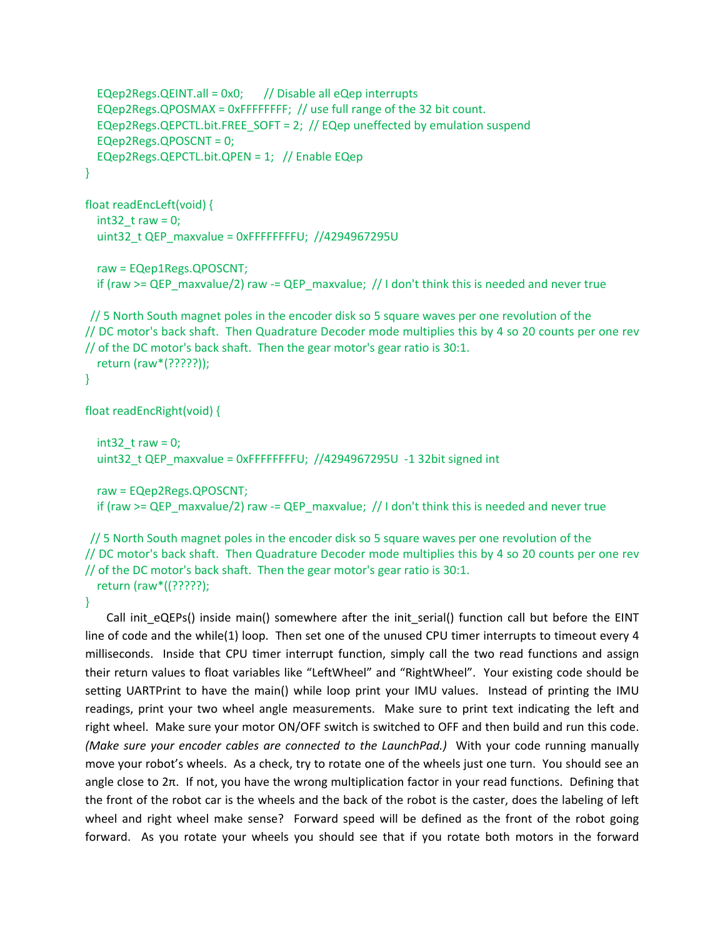```
EQep2Regs.QEINT.all = 0x0; // Disable all eQep interrupts
   EQep2Regs.QPOSMAX = 0xFFFFFFFF; // use full range of the 32 bit count.
  EQep2Regs.QEPCTL.bit.FREE_SOFT = 2; // EQep uneffected by emulation suspend
   EQep2Regs.QPOSCNT = 0;
   EQep2Regs.QEPCTL.bit.QPEN = 1; // Enable EQep
}
float readEncLeft(void) {
  int32 t raw = 0;
  uint32 t QEP maxvalue = 0xFFFFFFFFU; //4294967295U
   raw = EQep1Regs.QPOSCNT;
   if (raw >= QEP_maxvalue/2) raw -= QEP_maxvalue; // I don't think this is needed and never true
// 5 North South magnet poles in the encoder disk so 5 square waves per one revolution of the 
// DC motor's back shaft. Then Quadrature Decoder mode multiplies this by 4 so 20 counts per one rev 
// of the DC motor's back shaft. Then the gear motor's gear ratio is 30:1. 
   return (raw*(?????));
```

```
}
```
float readEncRight(void) {

```
int32 t raw = 0;
uint32 t QEP_maxvalue = 0xFFFFFFFFU; //4294967295U -1 32bit signed int
```

```
 raw = EQep2Regs.QPOSCNT;
if (raw >= QEP_maxvalue/2) raw = QEP_maxvalue; // I don't think this is needed and never true
```
// 5 North South magnet poles in the encoder disk so 5 square waves per one revolution of the // DC motor's back shaft. Then Quadrature Decoder mode multiplies this by 4 so 20 counts per one rev // of the DC motor's back shaft. Then the gear motor's gear ratio is 30:1. return (raw\*((?????);

### }

Call init\_eQEPs() inside main() somewhere after the init\_serial() function call but before the EINT line of code and the while(1) loop. Then set one of the unused CPU timer interrupts to timeout every 4 milliseconds. Inside that CPU timer interrupt function, simply call the two read functions and assign their return values to float variables like "LeftWheel" and "RightWheel". Your existing code should be setting UARTPrint to have the main() while loop print your IMU values. Instead of printing the IMU readings, print your two wheel angle measurements. Make sure to print text indicating the left and right wheel. Make sure your motor ON/OFF switch is switched to OFF and then build and run this code. *(Make sure your encoder cables are connected to the LaunchPad.)* With your code running manually move your robot's wheels. As a check, try to rotate one of the wheels just one turn. You should see an angle close to 2π. If not, you have the wrong multiplication factor in your read functions. Defining that the front of the robot car is the wheels and the back of the robot is the caster, does the labeling of left wheel and right wheel make sense? Forward speed will be defined as the front of the robot going forward. As you rotate your wheels you should see that if you rotate both motors in the forward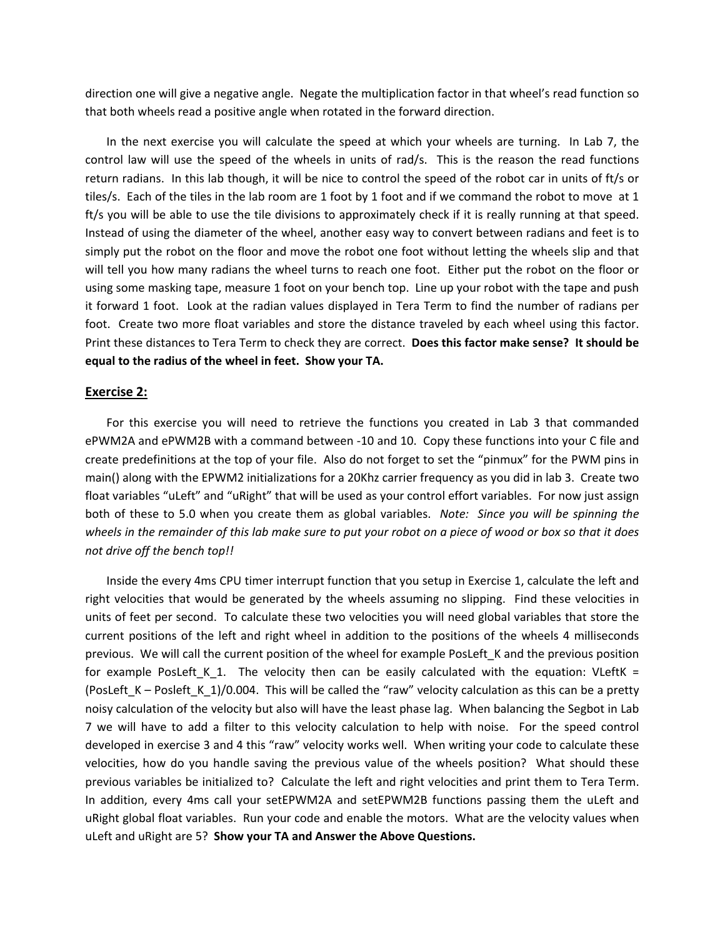direction one will give a negative angle. Negate the multiplication factor in that wheel's read function so that both wheels read a positive angle when rotated in the forward direction.

In the next exercise you will calculate the speed at which your wheels are turning. In Lab 7, the control law will use the speed of the wheels in units of rad/s. This is the reason the read functions return radians. In this lab though, it will be nice to control the speed of the robot car in units of ft/s or tiles/s. Each of the tiles in the lab room are 1 foot by 1 foot and if we command the robot to move at 1 ft/s you will be able to use the tile divisions to approximately check if it is really running at that speed. Instead of using the diameter of the wheel, another easy way to convert between radians and feet is to simply put the robot on the floor and move the robot one foot without letting the wheels slip and that will tell you how many radians the wheel turns to reach one foot. Either put the robot on the floor or using some masking tape, measure 1 foot on your bench top. Line up your robot with the tape and push it forward 1 foot. Look at the radian values displayed in Tera Term to find the number of radians per foot. Create two more float variables and store the distance traveled by each wheel using this factor. Print these distances to Tera Term to check they are correct. **Does this factor make sense? It should be equal to the radius of the wheel in feet. Show your TA.**

#### **Exercise 2:**

For this exercise you will need to retrieve the functions you created in Lab 3 that commanded ePWM2A and ePWM2B with a command between -10 and 10. Copy these functions into your C file and create predefinitions at the top of your file. Also do not forget to set the "pinmux" for the PWM pins in main() along with the EPWM2 initializations for a 20Khz carrier frequency as you did in lab 3. Create two float variables "uLeft" and "uRight" that will be used as your control effort variables. For now just assign both of these to 5.0 when you create them as global variables. *Note: Since you will be spinning the wheels in the remainder of this lab make sure to put your robot on a piece of wood or box so that it does not drive off the bench top!!*

Inside the every 4ms CPU timer interrupt function that you setup in Exercise 1, calculate the left and right velocities that would be generated by the wheels assuming no slipping. Find these velocities in units of feet per second. To calculate these two velocities you will need global variables that store the current positions of the left and right wheel in addition to the positions of the wheels 4 milliseconds previous. We will call the current position of the wheel for example PosLeft\_K and the previous position for example PosLeft K\_1. The velocity then can be easily calculated with the equation: VLeftK = (PosLeft  $K -$  Posleft  $K$  1)/0.004. This will be called the "raw" velocity calculation as this can be a pretty noisy calculation of the velocity but also will have the least phase lag. When balancing the Segbot in Lab 7 we will have to add a filter to this velocity calculation to help with noise. For the speed control developed in exercise 3 and 4 this "raw" velocity works well. When writing your code to calculate these velocities, how do you handle saving the previous value of the wheels position? What should these previous variables be initialized to? Calculate the left and right velocities and print them to Tera Term. In addition, every 4ms call your setEPWM2A and setEPWM2B functions passing them the uLeft and uRight global float variables. Run your code and enable the motors. What are the velocity values when uLeft and uRight are 5? **Show your TA and Answer the Above Questions.**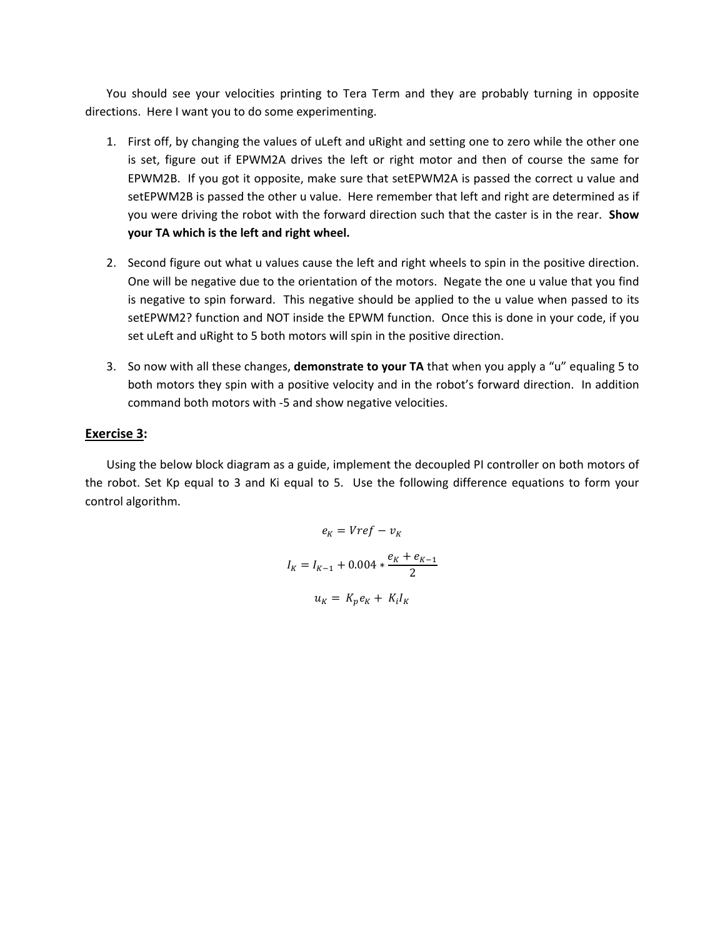You should see your velocities printing to Tera Term and they are probably turning in opposite directions. Here I want you to do some experimenting.

- 1. First off, by changing the values of uLeft and uRight and setting one to zero while the other one is set, figure out if EPWM2A drives the left or right motor and then of course the same for EPWM2B. If you got it opposite, make sure that setEPWM2A is passed the correct u value and setEPWM2B is passed the other u value. Here remember that left and right are determined as if you were driving the robot with the forward direction such that the caster is in the rear. **Show your TA which is the left and right wheel.**
- 2. Second figure out what u values cause the left and right wheels to spin in the positive direction. One will be negative due to the orientation of the motors. Negate the one u value that you find is negative to spin forward. This negative should be applied to the u value when passed to its setEPWM2? function and NOT inside the EPWM function. Once this is done in your code, if you set uLeft and uRight to 5 both motors will spin in the positive direction.
- 3. So now with all these changes, **demonstrate to your TA** that when you apply a "u" equaling 5 to both motors they spin with a positive velocity and in the robot's forward direction. In addition command both motors with -5 and show negative velocities.

### **Exercise 3:**

Using the below block diagram as a guide, implement the decoupled PI controller on both motors of the robot. Set Kp equal to 3 and Ki equal to 5. Use the following difference equations to form your control algorithm.

$$
e_K = Vref - v_K
$$
  

$$
I_K = I_{K-1} + 0.004 * \frac{e_K + e_{K-1}}{2}
$$
  

$$
u_K = K_p e_K + K_i I_K
$$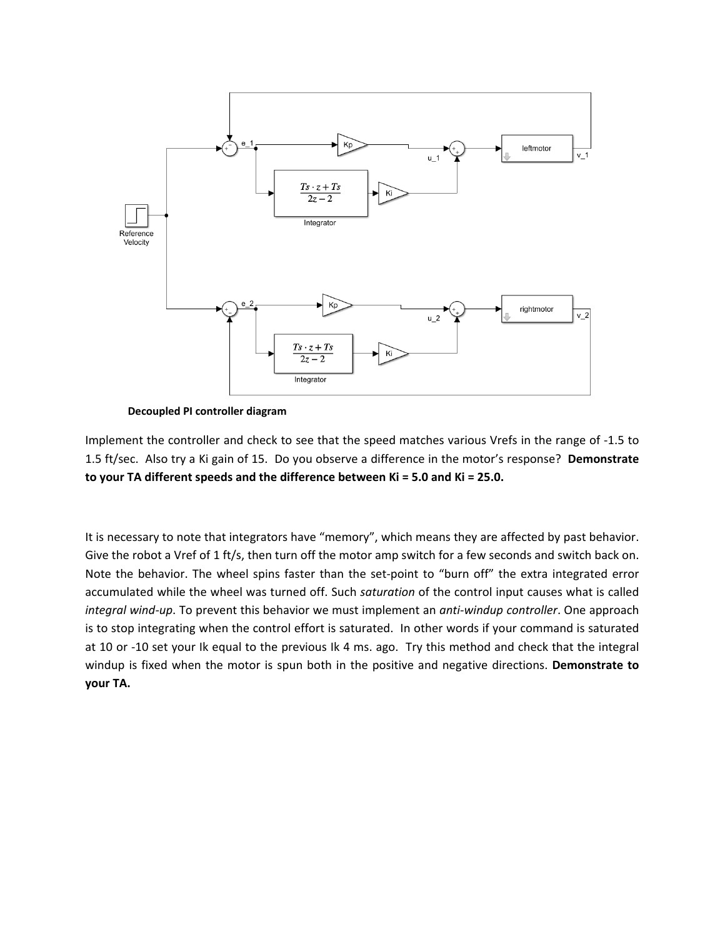

**Decoupled PI controller diagram**

Implement the controller and check to see that the speed matches various Vrefs in the range of -1.5 to 1.5 ft/sec. Also try a Ki gain of 15. Do you observe a difference in the motor's response? **Demonstrate to your TA different speeds and the difference between Ki = 5.0 and Ki = 25.0.**

It is necessary to note that integrators have "memory", which means they are affected by past behavior. Give the robot a Vref of 1 ft/s, then turn off the motor amp switch for a few seconds and switch back on. Note the behavior. The wheel spins faster than the set-point to "burn off" the extra integrated error accumulated while the wheel was turned off. Such *saturation* of the control input causes what is called *integral wind-up*. To prevent this behavior we must implement an *anti-windup controller*. One approach is to stop integrating when the control effort is saturated. In other words if your command is saturated at 10 or -10 set your Ik equal to the previous Ik 4 ms. ago. Try this method and check that the integral windup is fixed when the motor is spun both in the positive and negative directions. **Demonstrate to your TA.**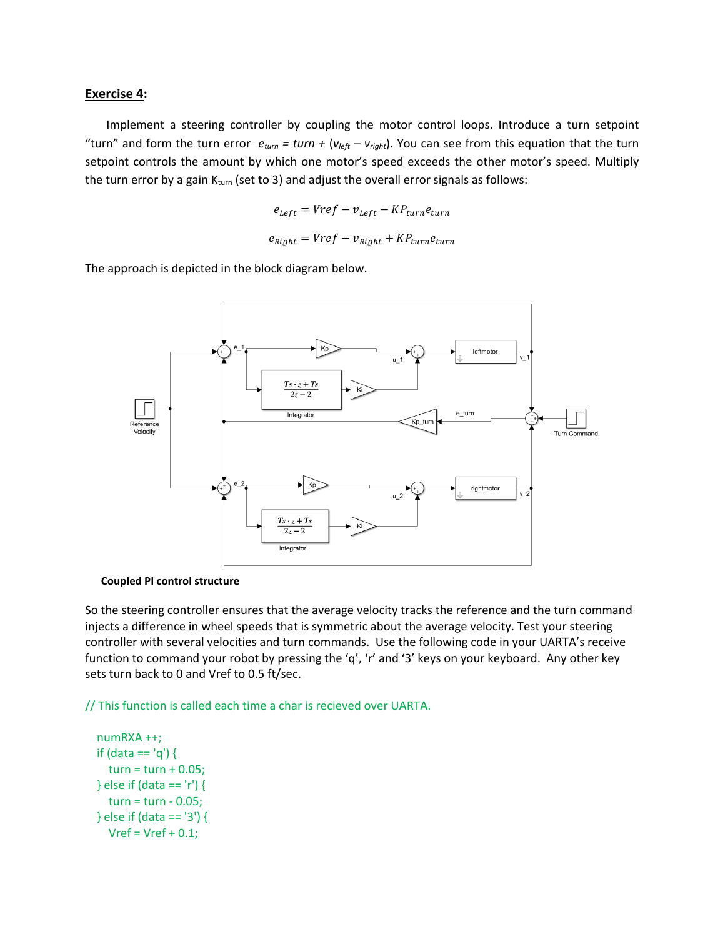#### **Exercise 4:**

Implement a steering controller by coupling the motor control loops. Introduce a turn setpoint "turn" and form the turn error  $e_{turn} = turn + (v_{left} - v_{right})$ . You can see from this equation that the turn setpoint controls the amount by which one motor's speed exceeds the other motor's speed. Multiply the turn error by a gain  $K_{turn}$  (set to 3) and adjust the overall error signals as follows:

$$
e_{Left} = Vref - v_{Left} - KP_{turn}e_{turn}
$$

$$
e_{Right} = Vref - v_{Right} + KP_{turn}e_{turn}
$$

The approach is depicted in the block diagram below.



#### **Coupled PI control structure**

So the steering controller ensures that the average velocity tracks the reference and the turn command injects a difference in wheel speeds that is symmetric about the average velocity. Test your steering controller with several velocities and turn commands. Use the following code in your UARTA's receive function to command your robot by pressing the 'q', 'r' and '3' keys on your keyboard. Any other key sets turn back to 0 and Vref to 0.5 ft/sec.

// This function is called each time a char is recieved over UARTA.

```
 numRXA ++;
 if (data == 'q') {
  turn = turn + 0.05; } else if (data == 'r') {
   turn = turn - 0.05;
 } else if (data == '3') {
  Vref = Vref + 0.1;
```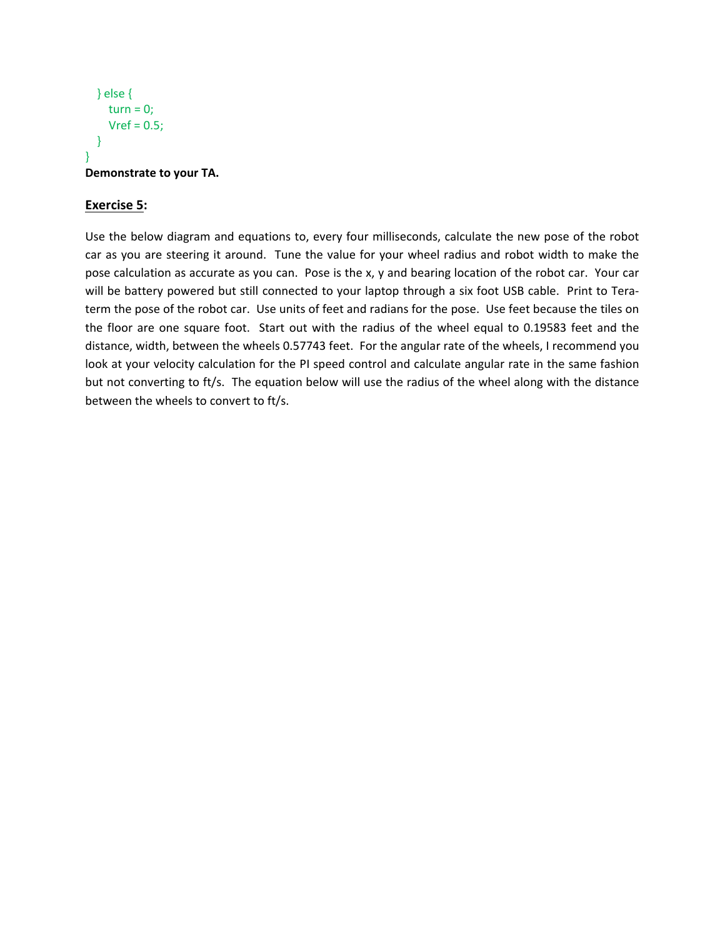```
 } else {
    turn = 0;Vref = 0.5;
   }
}
Demonstrate to your TA.
```
## **Exercise 5:**

Use the below diagram and equations to, every four milliseconds, calculate the new pose of the robot car as you are steering it around. Tune the value for your wheel radius and robot width to make the pose calculation as accurate as you can. Pose is the x, y and bearing location of the robot car. Your car will be battery powered but still connected to your laptop through a six foot USB cable. Print to Teraterm the pose of the robot car. Use units of feet and radians for the pose. Use feet because the tiles on the floor are one square foot. Start out with the radius of the wheel equal to 0.19583 feet and the distance, width, between the wheels 0.57743 feet. For the angular rate of the wheels, I recommend you look at your velocity calculation for the PI speed control and calculate angular rate in the same fashion but not converting to ft/s. The equation below will use the radius of the wheel along with the distance between the wheels to convert to ft/s.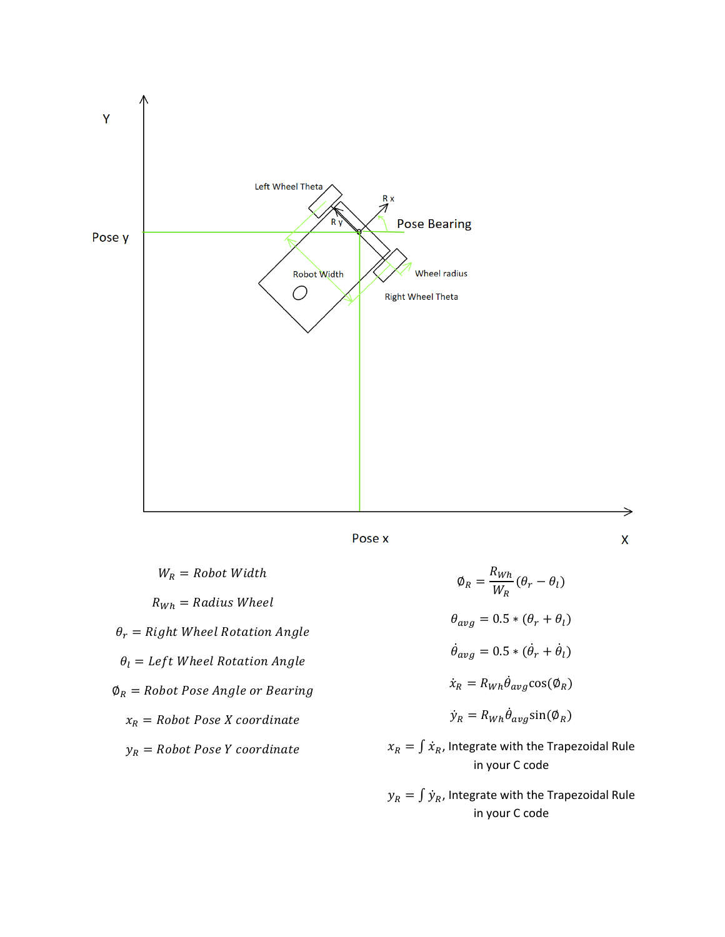

Pose x

 $W_R = \text{Robot Width}$  $R_{Wh} = Radius$  Wheel  $\theta_r =$  Right Wheel Rotation Angle  $\theta_l = Left$  Wheel Rotation Angle  $\varphi_R$  = Robot Pose Angle or Bearing  $x_R = Robot \, Pose \, X \, coordinate$  $y_R = Robot \, Pose \, Y \, coordinate$ 

 $\varphi_R = \frac{R_{Wh}}{W_R} (\theta_r - \theta_l)$  $\theta_{avg} = 0.5 * (\theta_r + \theta_l)$  $\dot{\theta}_{avg} = 0.5 * (\dot{\theta}_r + \dot{\theta}_l)$  $\dot{x}_R = R_{Wh} \theta_{avg} \cos(\phi_R)$  $\dot{y}_R = R_{Wh} \dot{\theta}_{avg} \sin(\phi_R)$ 

⇒

 $\pmb{\mathsf{X}}$ 

 $x_R = \int \dot{x}_R$ , Integrate with the Trapezoidal Rule in your C code

 $y_R = \int \dot{y}_R$ , Integrate with the Trapezoidal Rule in your C code